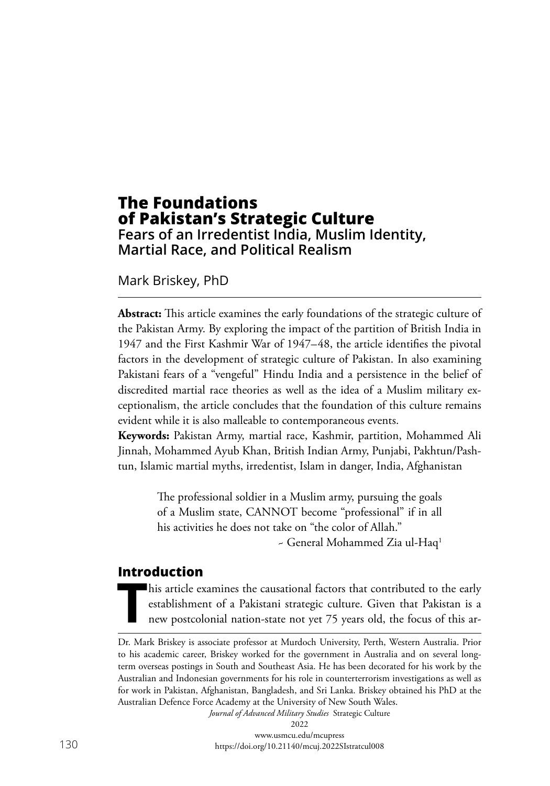# **The Foundations of Pakistan's Strategic Culture Fears of an Irredentist India, Muslim Identity, Martial Race, and Political Realism**

Mark Briskey, PhD

**Abstract:** This article examines the early foundations of the strategic culture of the Pakistan Army. By exploring the impact of the partition of British India in 1947 and the First Kashmir War of 1947–48, the article identifies the pivotal factors in the development of strategic culture of Pakistan. In also examining Pakistani fears of a "vengeful" Hindu India and a persistence in the belief of discredited martial race theories as well as the idea of a Muslim military exceptionalism, the article concludes that the foundation of this culture remains evident while it is also malleable to contemporaneous events.

**Keywords:** Pakistan Army, martial race, Kashmir, partition, Mohammed Ali Jinnah, Mohammed Ayub Khan, British Indian Army, Punjabi, Pakhtun/Pashtun, Islamic martial myths, irredentist, Islam in danger, India, Afghanistan

> The professional soldier in a Muslim army, pursuing the goals of a Muslim state, CANNOT become "professional" if in all his activities he does not take on "the color of Allah."

~ General Mohammed Zia ul-Haq1

#### **Introduction**

This article examines the causational factors that contributed to the early establishment of a Pakistani strategic culture. Given that Pakistan is a new postcolonial nation-state not yet 75 years old, the focus of this are establishment of a Pakistani strategic culture. Given that Pakistan is a new postcolonial nation-state not yet 75 years old, the focus of this ar-

*Journal of Advanced Military Studies* Strategic Culture 2022

Dr. Mark Briskey is associate professor at Murdoch University, Perth, Western Australia. Prior to his academic career, Briskey worked for the government in Australia and on several longterm overseas postings in South and Southeast Asia. He has been decorated for his work by the Australian and Indonesian governments for his role in counterterrorism investigations as well as for work in Pakistan, Afghanistan, Bangladesh, and Sri Lanka. Briskey obtained his PhD at the Australian Defence Force Academy at the University of New South Wales.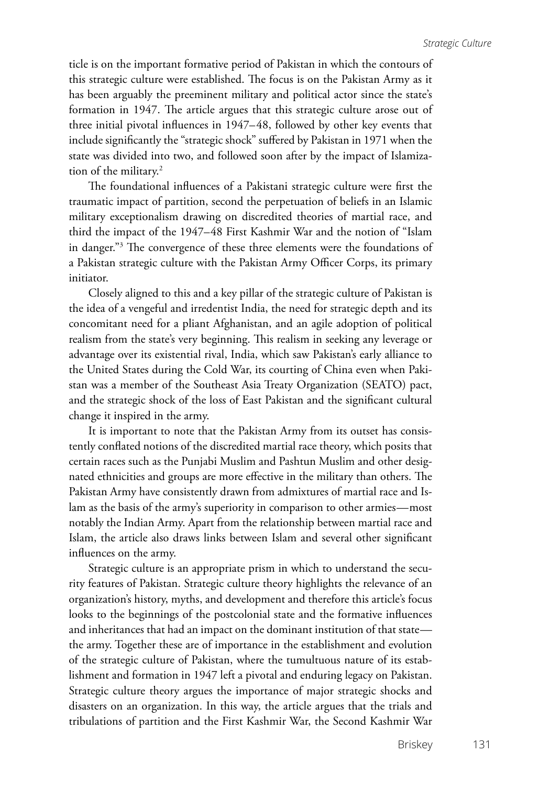ticle is on the important formative period of Pakistan in which the contours of this strategic culture were established. The focus is on the Pakistan Army as it has been arguably the preeminent military and political actor since the state's formation in 1947. The article argues that this strategic culture arose out of three initial pivotal influences in 1947–48, followed by other key events that include significantly the "strategic shock" suffered by Pakistan in 1971 when the state was divided into two, and followed soon after by the impact of Islamization of the military.<sup>2</sup>

The foundational influences of a Pakistani strategic culture were first the traumatic impact of partition, second the perpetuation of beliefs in an Islamic military exceptionalism drawing on discredited theories of martial race, and third the impact of the 1947–48 First Kashmir War and the notion of "Islam in danger."3 The convergence of these three elements were the foundations of a Pakistan strategic culture with the Pakistan Army Officer Corps, its primary initiator.

Closely aligned to this and a key pillar of the strategic culture of Pakistan is the idea of a vengeful and irredentist India, the need for strategic depth and its concomitant need for a pliant Afghanistan, and an agile adoption of political realism from the state's very beginning. This realism in seeking any leverage or advantage over its existential rival, India, which saw Pakistan's early alliance to the United States during the Cold War, its courting of China even when Pakistan was a member of the Southeast Asia Treaty Organization (SEATO) pact, and the strategic shock of the loss of East Pakistan and the significant cultural change it inspired in the army.

It is important to note that the Pakistan Army from its outset has consistently conflated notions of the discredited martial race theory, which posits that certain races such as the Punjabi Muslim and Pashtun Muslim and other designated ethnicities and groups are more effective in the military than others. The Pakistan Army have consistently drawn from admixtures of martial race and Islam as the basis of the army's superiority in comparison to other armies—most notably the Indian Army. Apart from the relationship between martial race and Islam, the article also draws links between Islam and several other significant influences on the army.

Strategic culture is an appropriate prism in which to understand the security features of Pakistan. Strategic culture theory highlights the relevance of an organization's history, myths, and development and therefore this article's focus looks to the beginnings of the postcolonial state and the formative influences and inheritances that had an impact on the dominant institution of that state the army. Together these are of importance in the establishment and evolution of the strategic culture of Pakistan, where the tumultuous nature of its establishment and formation in 1947 left a pivotal and enduring legacy on Pakistan. Strategic culture theory argues the importance of major strategic shocks and disasters on an organization. In this way, the article argues that the trials and tribulations of partition and the First Kashmir War, the Second Kashmir War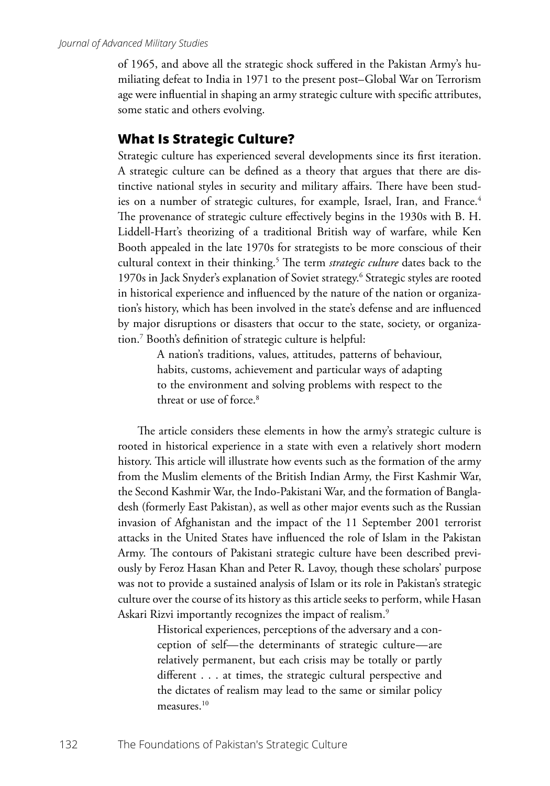of 1965, and above all the strategic shock suffered in the Pakistan Army's humiliating defeat to India in 1971 to the present post–Global War on Terrorism age were influential in shaping an army strategic culture with specific attributes, some static and others evolving.

#### **What Is Strategic Culture?**

Strategic culture has experienced several developments since its first iteration. A strategic culture can be defined as a theory that argues that there are distinctive national styles in security and military affairs. There have been studies on a number of strategic cultures, for example, Israel, Iran, and France.<sup>4</sup> The provenance of strategic culture effectively begins in the 1930s with B. H. Liddell-Hart's theorizing of a traditional British way of warfare, while Ken Booth appealed in the late 1970s for strategists to be more conscious of their cultural context in their thinking.<sup>5</sup> The term *strategic culture* dates back to the 1970s in Jack Snyder's explanation of Soviet strategy.6 Strategic styles are rooted in historical experience and influenced by the nature of the nation or organization's history, which has been involved in the state's defense and are influenced by major disruptions or disasters that occur to the state, society, or organization.7 Booth's definition of strategic culture is helpful:

> A nation's traditions, values, attitudes, patterns of behaviour, habits, customs, achievement and particular ways of adapting to the environment and solving problems with respect to the threat or use of force<sup>8</sup>

The article considers these elements in how the army's strategic culture is rooted in historical experience in a state with even a relatively short modern history. This article will illustrate how events such as the formation of the army from the Muslim elements of the British Indian Army, the First Kashmir War, the Second Kashmir War, the Indo-Pakistani War, and the formation of Bangladesh (formerly East Pakistan), as well as other major events such as the Russian invasion of Afghanistan and the impact of the 11 September 2001 terrorist attacks in the United States have influenced the role of Islam in the Pakistan Army. The contours of Pakistani strategic culture have been described previously by Feroz Hasan Khan and Peter R. Lavoy, though these scholars' purpose was not to provide a sustained analysis of Islam or its role in Pakistan's strategic culture over the course of its history as this article seeks to perform, while Hasan Askari Rizvi importantly recognizes the impact of realism.<sup>9</sup>

> Historical experiences, perceptions of the adversary and a conception of self—the determinants of strategic culture—are relatively permanent, but each crisis may be totally or partly different . . . at times, the strategic cultural perspective and the dictates of realism may lead to the same or similar policy measures.<sup>10</sup>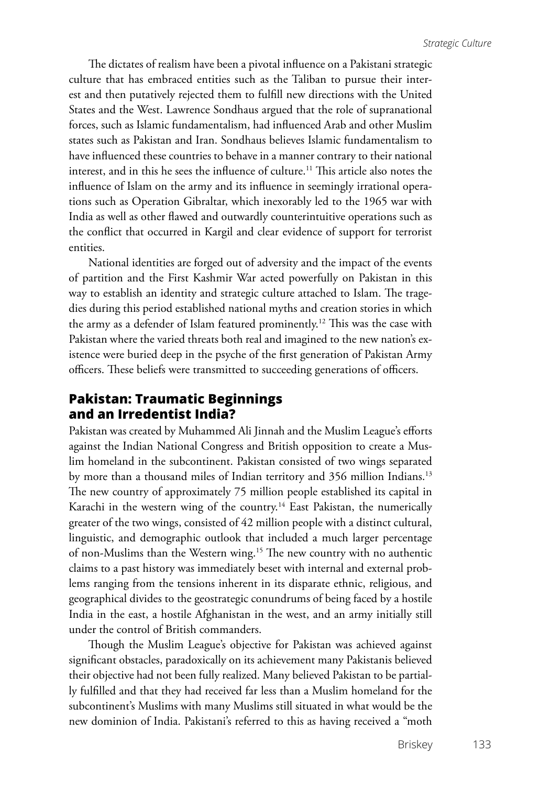The dictates of realism have been a pivotal influence on a Pakistani strategic culture that has embraced entities such as the Taliban to pursue their interest and then putatively rejected them to fulfill new directions with the United States and the West. Lawrence Sondhaus argued that the role of supranational forces, such as Islamic fundamentalism, had influenced Arab and other Muslim states such as Pakistan and Iran. Sondhaus believes Islamic fundamentalism to have influenced these countries to behave in a manner contrary to their national interest, and in this he sees the influence of culture.<sup>11</sup> This article also notes the influence of Islam on the army and its influence in seemingly irrational operations such as Operation Gibraltar, which inexorably led to the 1965 war with India as well as other flawed and outwardly counterintuitive operations such as the conflict that occurred in Kargil and clear evidence of support for terrorist entities.

National identities are forged out of adversity and the impact of the events of partition and the First Kashmir War acted powerfully on Pakistan in this way to establish an identity and strategic culture attached to Islam. The tragedies during this period established national myths and creation stories in which the army as a defender of Islam featured prominently.12 This was the case with Pakistan where the varied threats both real and imagined to the new nation's existence were buried deep in the psyche of the first generation of Pakistan Army officers. These beliefs were transmitted to succeeding generations of officers.

## **Pakistan: Traumatic Beginnings and an Irredentist India?**

Pakistan was created by Muhammed Ali Jinnah and the Muslim League's efforts against the Indian National Congress and British opposition to create a Muslim homeland in the subcontinent. Pakistan consisted of two wings separated by more than a thousand miles of Indian territory and 356 million Indians.<sup>13</sup> The new country of approximately 75 million people established its capital in Karachi in the western wing of the country.<sup>14</sup> East Pakistan, the numerically greater of the two wings, consisted of 42 million people with a distinct cultural, linguistic, and demographic outlook that included a much larger percentage of non-Muslims than the Western wing.15 The new country with no authentic claims to a past history was immediately beset with internal and external problems ranging from the tensions inherent in its disparate ethnic, religious, and geographical divides to the geostrategic conundrums of being faced by a hostile India in the east, a hostile Afghanistan in the west, and an army initially still under the control of British commanders.

Though the Muslim League's objective for Pakistan was achieved against significant obstacles, paradoxically on its achievement many Pakistanis believed their objective had not been fully realized. Many believed Pakistan to be partially fulfilled and that they had received far less than a Muslim homeland for the subcontinent's Muslims with many Muslims still situated in what would be the new dominion of India. Pakistani's referred to this as having received a "moth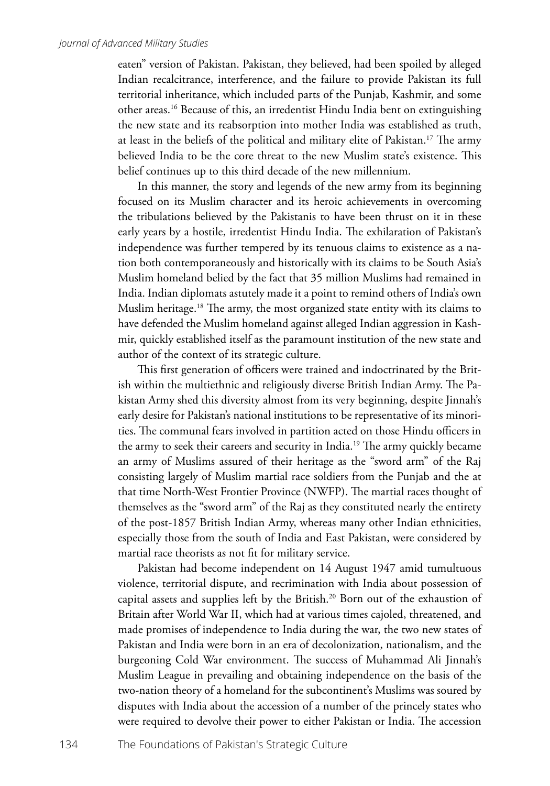eaten" version of Pakistan. Pakistan, they believed, had been spoiled by alleged Indian recalcitrance, interference, and the failure to provide Pakistan its full territorial inheritance, which included parts of the Punjab, Kashmir, and some other areas.16 Because of this, an irredentist Hindu India bent on extinguishing the new state and its reabsorption into mother India was established as truth, at least in the beliefs of the political and military elite of Pakistan.17 The army believed India to be the core threat to the new Muslim state's existence. This belief continues up to this third decade of the new millennium.

In this manner, the story and legends of the new army from its beginning focused on its Muslim character and its heroic achievements in overcoming the tribulations believed by the Pakistanis to have been thrust on it in these early years by a hostile, irredentist Hindu India. The exhilaration of Pakistan's independence was further tempered by its tenuous claims to existence as a nation both contemporaneously and historically with its claims to be South Asia's Muslim homeland belied by the fact that 35 million Muslims had remained in India. Indian diplomats astutely made it a point to remind others of India's own Muslim heritage.18 The army, the most organized state entity with its claims to have defended the Muslim homeland against alleged Indian aggression in Kashmir, quickly established itself as the paramount institution of the new state and author of the context of its strategic culture.

This first generation of officers were trained and indoctrinated by the British within the multiethnic and religiously diverse British Indian Army. The Pakistan Army shed this diversity almost from its very beginning, despite Jinnah's early desire for Pakistan's national institutions to be representative of its minorities. The communal fears involved in partition acted on those Hindu officers in the army to seek their careers and security in India.<sup>19</sup> The army quickly became an army of Muslims assured of their heritage as the "sword arm" of the Raj consisting largely of Muslim martial race soldiers from the Punjab and the at that time North-West Frontier Province (NWFP). The martial races thought of themselves as the "sword arm" of the Raj as they constituted nearly the entirety of the post-1857 British Indian Army, whereas many other Indian ethnicities, especially those from the south of India and East Pakistan, were considered by martial race theorists as not fit for military service.

Pakistan had become independent on 14 August 1947 amid tumultuous violence, territorial dispute, and recrimination with India about possession of capital assets and supplies left by the British.20 Born out of the exhaustion of Britain after World War II, which had at various times cajoled, threatened, and made promises of independence to India during the war, the two new states of Pakistan and India were born in an era of decolonization, nationalism, and the burgeoning Cold War environment. The success of Muhammad Ali Jinnah's Muslim League in prevailing and obtaining independence on the basis of the two-nation theory of a homeland for the subcontinent's Muslims was soured by disputes with India about the accession of a number of the princely states who were required to devolve their power to either Pakistan or India. The accession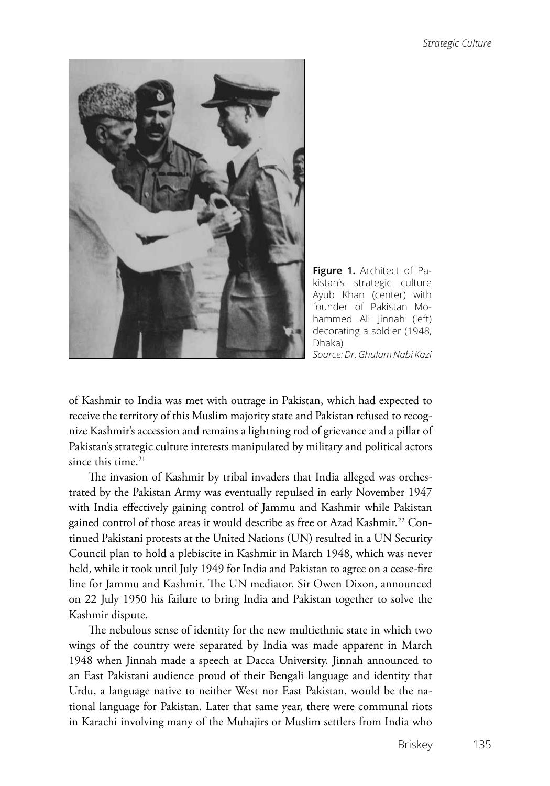

**Figure 1.** Architect of Pakistan's strategic culture Ayub Khan (center) with founder of Pakistan Mohammed Ali Jinnah (left) decorating a soldier (1948, Dhaka) *Source: Dr. Ghulam Nabi Kazi*

of Kashmir to India was met with outrage in Pakistan, which had expected to receive the territory of this Muslim majority state and Pakistan refused to recognize Kashmir's accession and remains a lightning rod of grievance and a pillar of Pakistan's strategic culture interests manipulated by military and political actors since this time. $21$ 

The invasion of Kashmir by tribal invaders that India alleged was orchestrated by the Pakistan Army was eventually repulsed in early November 1947 with India effectively gaining control of Jammu and Kashmir while Pakistan gained control of those areas it would describe as free or Azad Kashmir.<sup>22</sup> Continued Pakistani protests at the United Nations (UN) resulted in a UN Security Council plan to hold a plebiscite in Kashmir in March 1948, which was never held, while it took until July 1949 for India and Pakistan to agree on a cease-fire line for Jammu and Kashmir. The UN mediator, Sir Owen Dixon, announced on 22 July 1950 his failure to bring India and Pakistan together to solve the Kashmir dispute.

The nebulous sense of identity for the new multiethnic state in which two wings of the country were separated by India was made apparent in March 1948 when Jinnah made a speech at Dacca University. Jinnah announced to an East Pakistani audience proud of their Bengali language and identity that Urdu, a language native to neither West nor East Pakistan, would be the national language for Pakistan. Later that same year, there were communal riots in Karachi involving many of the Muhajirs or Muslim settlers from India who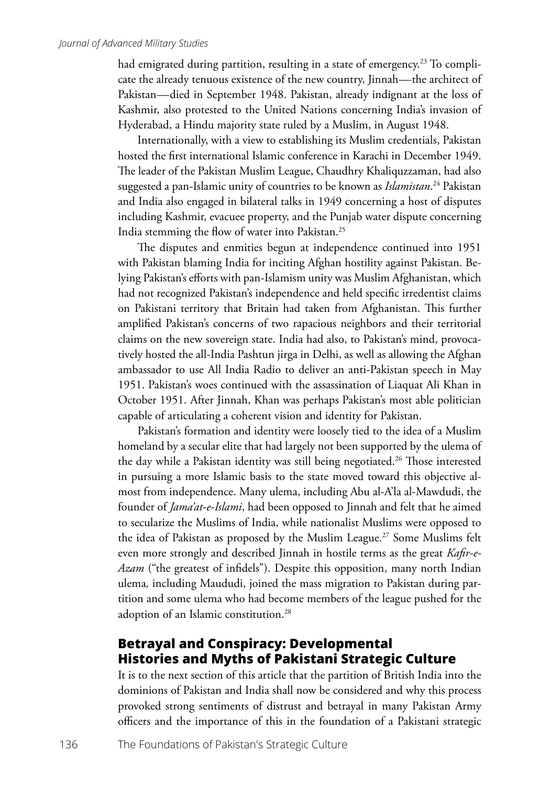had emigrated during partition, resulting in a state of emergency.<sup>23</sup> To complicate the already tenuous existence of the new country, Jinnah—the architect of Pakistan—died in September 1948. Pakistan, already indignant at the loss of Kashmir, also protested to the United Nations concerning India's invasion of Hyderabad, a Hindu majority state ruled by a Muslim, in August 1948.

Internationally, with a view to establishing its Muslim credentials, Pakistan hosted the first international Islamic conference in Karachi in December 1949. The leader of the Pakistan Muslim League, Chaudhry Khaliquzzaman, had also suggested a pan-Islamic unity of countries to be known as *Islamistan*. 24 Pakistan and India also engaged in bilateral talks in 1949 concerning a host of disputes including Kashmir, evacuee property, and the Punjab water dispute concerning India stemming the flow of water into Pakistan.25

The disputes and enmities begun at independence continued into 1951 with Pakistan blaming India for inciting Afghan hostility against Pakistan. Belying Pakistan's efforts with pan-Islamism unity was Muslim Afghanistan, which had not recognized Pakistan's independence and held specific irredentist claims on Pakistani territory that Britain had taken from Afghanistan. This further amplified Pakistan's concerns of two rapacious neighbors and their territorial claims on the new sovereign state. India had also, to Pakistan's mind, provocatively hosted the all-India Pashtun jirga in Delhi, as well as allowing the Afghan ambassador to use All India Radio to deliver an anti-Pakistan speech in May 1951. Pakistan's woes continued with the assassination of Liaquat Ali Khan in October 1951. After Jinnah, Khan was perhaps Pakistan's most able politician capable of articulating a coherent vision and identity for Pakistan.

Pakistan's formation and identity were loosely tied to the idea of a Muslim homeland by a secular elite that had largely not been supported by the ulema of the day while a Pakistan identity was still being negotiated.<sup>26</sup> Those interested in pursuing a more Islamic basis to the state moved toward this objective almost from independence. Many ulema, including Abu al-A'la al-Mawdudi, the founder of *Jama'at-e-Islami*, had been opposed to Jinnah and felt that he aimed to secularize the Muslims of India, while nationalist Muslims were opposed to the idea of Pakistan as proposed by the Muslim League.<sup>27</sup> Some Muslims felt even more strongly and described Jinnah in hostile terms as the great *Kafir-e-Azam* ("the greatest of infidels"). Despite this opposition, many north Indian ulema*,* including Maududi, joined the mass migration to Pakistan during partition and some ulema who had become members of the league pushed for the adoption of an Islamic constitution.28

### **Betrayal and Conspiracy: Developmental Histories and Myths of Pakistani Strategic Culture**

It is to the next section of this article that the partition of British India into the dominions of Pakistan and India shall now be considered and why this process provoked strong sentiments of distrust and betrayal in many Pakistan Army officers and the importance of this in the foundation of a Pakistani strategic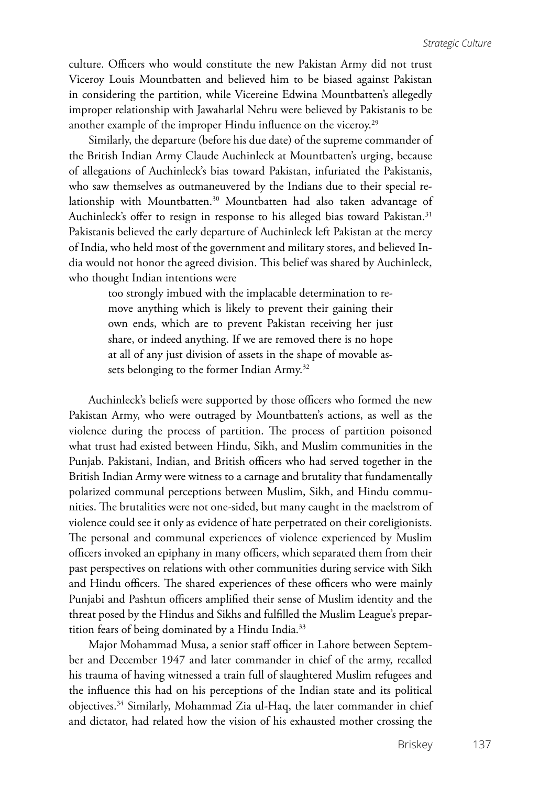culture. Officers who would constitute the new Pakistan Army did not trust Viceroy Louis Mountbatten and believed him to be biased against Pakistan in considering the partition, while Vicereine Edwina Mountbatten's allegedly improper relationship with Jawaharlal Nehru were believed by Pakistanis to be another example of the improper Hindu influence on the viceroy.29

Similarly, the departure (before his due date) of the supreme commander of the British Indian Army Claude Auchinleck at Mountbatten's urging, because of allegations of Auchinleck's bias toward Pakistan, infuriated the Pakistanis, who saw themselves as outmaneuvered by the Indians due to their special relationship with Mountbatten.<sup>30</sup> Mountbatten had also taken advantage of Auchinleck's offer to resign in response to his alleged bias toward Pakistan.<sup>31</sup> Pakistanis believed the early departure of Auchinleck left Pakistan at the mercy of India, who held most of the government and military stores, and believed India would not honor the agreed division. This belief was shared by Auchinleck, who thought Indian intentions were

> too strongly imbued with the implacable determination to remove anything which is likely to prevent their gaining their own ends, which are to prevent Pakistan receiving her just share, or indeed anything. If we are removed there is no hope at all of any just division of assets in the shape of movable assets belonging to the former Indian Army.<sup>32</sup>

Auchinleck's beliefs were supported by those officers who formed the new Pakistan Army, who were outraged by Mountbatten's actions, as well as the violence during the process of partition. The process of partition poisoned what trust had existed between Hindu, Sikh, and Muslim communities in the Punjab. Pakistani, Indian, and British officers who had served together in the British Indian Army were witness to a carnage and brutality that fundamentally polarized communal perceptions between Muslim, Sikh, and Hindu communities. The brutalities were not one-sided, but many caught in the maelstrom of violence could see it only as evidence of hate perpetrated on their coreligionists. The personal and communal experiences of violence experienced by Muslim officers invoked an epiphany in many officers, which separated them from their past perspectives on relations with other communities during service with Sikh and Hindu officers. The shared experiences of these officers who were mainly Punjabi and Pashtun officers amplified their sense of Muslim identity and the threat posed by the Hindus and Sikhs and fulfilled the Muslim League's prepartition fears of being dominated by a Hindu India.<sup>33</sup>

Major Mohammad Musa, a senior staff officer in Lahore between September and December 1947 and later commander in chief of the army, recalled his trauma of having witnessed a train full of slaughtered Muslim refugees and the influence this had on his perceptions of the Indian state and its political objectives.34 Similarly, Mohammad Zia ul-Haq, the later commander in chief and dictator, had related how the vision of his exhausted mother crossing the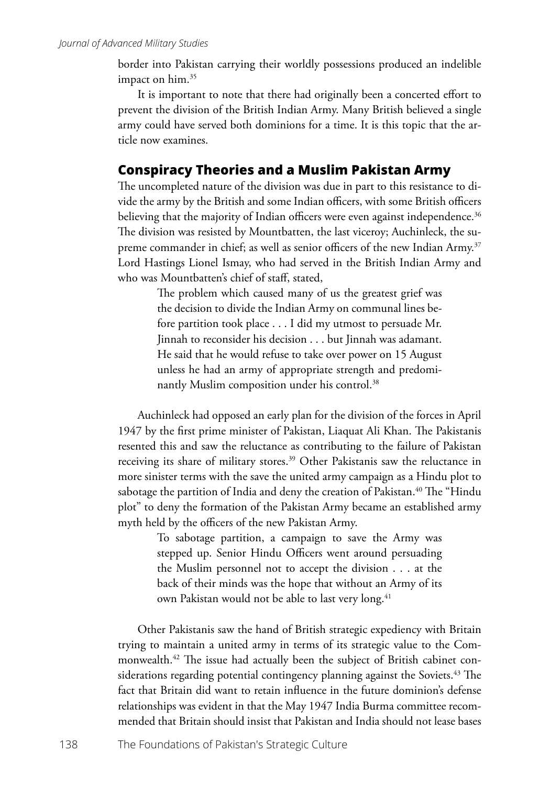border into Pakistan carrying their worldly possessions produced an indelible impact on him.<sup>35</sup>

It is important to note that there had originally been a concerted effort to prevent the division of the British Indian Army. Many British believed a single army could have served both dominions for a time. It is this topic that the article now examines.

#### **Conspiracy Theories and a Muslim Pakistan Army**

The uncompleted nature of the division was due in part to this resistance to divide the army by the British and some Indian officers, with some British officers believing that the majority of Indian officers were even against independence.<sup>36</sup> The division was resisted by Mountbatten, the last viceroy; Auchinleck, the supreme commander in chief; as well as senior officers of the new Indian Army.<sup>37</sup> Lord Hastings Lionel Ismay, who had served in the British Indian Army and who was Mountbatten's chief of staff, stated,

> The problem which caused many of us the greatest grief was the decision to divide the Indian Army on communal lines before partition took place . . . I did my utmost to persuade Mr. Jinnah to reconsider his decision . . . but Jinnah was adamant. He said that he would refuse to take over power on 15 August unless he had an army of appropriate strength and predominantly Muslim composition under his control.<sup>38</sup>

Auchinleck had opposed an early plan for the division of the forces in April 1947 by the first prime minister of Pakistan, Liaquat Ali Khan. The Pakistanis resented this and saw the reluctance as contributing to the failure of Pakistan receiving its share of military stores.<sup>39</sup> Other Pakistanis saw the reluctance in more sinister terms with the save the united army campaign as a Hindu plot to sabotage the partition of India and deny the creation of Pakistan.<sup>40</sup> The "Hindu plot" to deny the formation of the Pakistan Army became an established army myth held by the officers of the new Pakistan Army.

> To sabotage partition, a campaign to save the Army was stepped up. Senior Hindu Officers went around persuading the Muslim personnel not to accept the division . . . at the back of their minds was the hope that without an Army of its own Pakistan would not be able to last very long.<sup>41</sup>

Other Pakistanis saw the hand of British strategic expediency with Britain trying to maintain a united army in terms of its strategic value to the Commonwealth.<sup>42</sup> The issue had actually been the subject of British cabinet considerations regarding potential contingency planning against the Soviets.<sup> $43$ </sup> The fact that Britain did want to retain influence in the future dominion's defense relationships was evident in that the May 1947 India Burma committee recommended that Britain should insist that Pakistan and India should not lease bases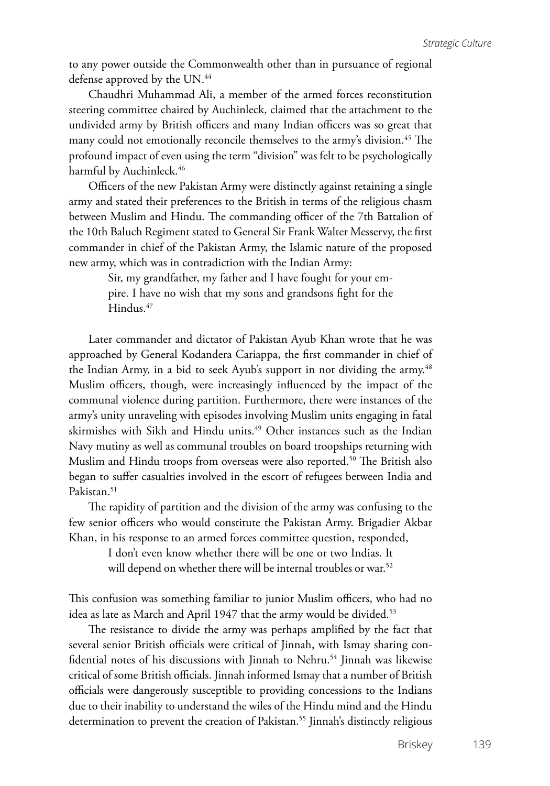to any power outside the Commonwealth other than in pursuance of regional defense approved by the UN.<sup>44</sup>

Chaudhri Muhammad Ali, a member of the armed forces reconstitution steering committee chaired by Auchinleck, claimed that the attachment to the undivided army by British officers and many Indian officers was so great that many could not emotionally reconcile themselves to the army's division.<sup>45</sup> The profound impact of even using the term "division" was felt to be psychologically harmful by Auchinleck.<sup>46</sup>

Officers of the new Pakistan Army were distinctly against retaining a single army and stated their preferences to the British in terms of the religious chasm between Muslim and Hindu. The commanding officer of the 7th Battalion of the 10th Baluch Regiment stated to General Sir Frank Walter Messervy, the first commander in chief of the Pakistan Army, the Islamic nature of the proposed new army, which was in contradiction with the Indian Army:

> Sir, my grandfather, my father and I have fought for your empire. I have no wish that my sons and grandsons fight for the Hindus.<sup>47</sup>

Later commander and dictator of Pakistan Ayub Khan wrote that he was approached by General Kodandera Cariappa, the first commander in chief of the Indian Army, in a bid to seek Ayub's support in not dividing the army.<sup>48</sup> Muslim officers, though, were increasingly influenced by the impact of the communal violence during partition. Furthermore, there were instances of the army's unity unraveling with episodes involving Muslim units engaging in fatal skirmishes with Sikh and Hindu units.<sup>49</sup> Other instances such as the Indian Navy mutiny as well as communal troubles on board troopships returning with Muslim and Hindu troops from overseas were also reported.<sup>50</sup> The British also began to suffer casualties involved in the escort of refugees between India and Pakistan.<sup>51</sup>

The rapidity of partition and the division of the army was confusing to the few senior officers who would constitute the Pakistan Army. Brigadier Akbar Khan, in his response to an armed forces committee question, responded,

I don't even know whether there will be one or two Indias. It

will depend on whether there will be internal troubles or war.<sup>52</sup>

This confusion was something familiar to junior Muslim officers, who had no idea as late as March and April 1947 that the army would be divided.<sup>53</sup>

The resistance to divide the army was perhaps amplified by the fact that several senior British officials were critical of Jinnah, with Ismay sharing confidential notes of his discussions with Jinnah to Nehru.<sup>54</sup> Jinnah was likewise critical of some British officials. Jinnah informed Ismay that a number of British officials were dangerously susceptible to providing concessions to the Indians due to their inability to understand the wiles of the Hindu mind and the Hindu determination to prevent the creation of Pakistan.<sup>55</sup> Jinnah's distinctly religious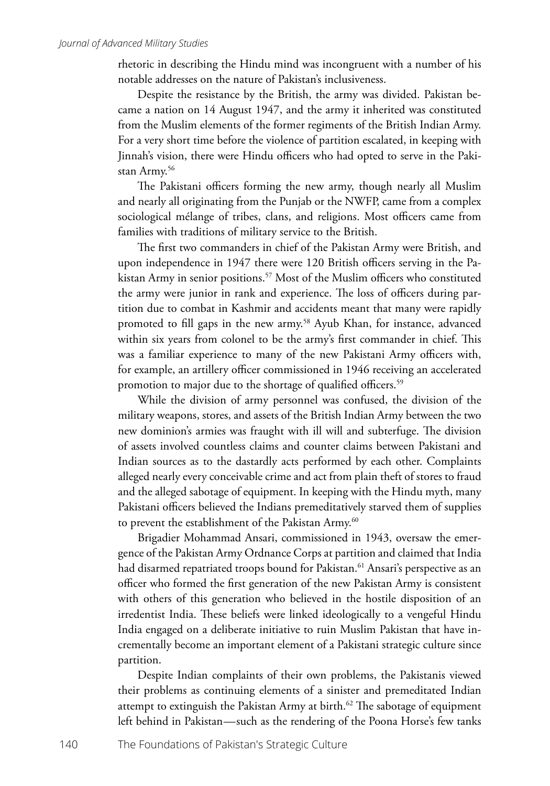rhetoric in describing the Hindu mind was incongruent with a number of his notable addresses on the nature of Pakistan's inclusiveness.

Despite the resistance by the British, the army was divided. Pakistan became a nation on 14 August 1947, and the army it inherited was constituted from the Muslim elements of the former regiments of the British Indian Army. For a very short time before the violence of partition escalated, in keeping with Jinnah's vision, there were Hindu officers who had opted to serve in the Pakistan Army.<sup>56</sup>

The Pakistani officers forming the new army, though nearly all Muslim and nearly all originating from the Punjab or the NWFP, came from a complex sociological mélange of tribes, clans, and religions. Most officers came from families with traditions of military service to the British.

The first two commanders in chief of the Pakistan Army were British, and upon independence in 1947 there were 120 British officers serving in the Pakistan Army in senior positions.<sup>57</sup> Most of the Muslim officers who constituted the army were junior in rank and experience. The loss of officers during partition due to combat in Kashmir and accidents meant that many were rapidly promoted to fill gaps in the new army.<sup>58</sup> Ayub Khan, for instance, advanced within six years from colonel to be the army's first commander in chief. This was a familiar experience to many of the new Pakistani Army officers with, for example, an artillery officer commissioned in 1946 receiving an accelerated promotion to major due to the shortage of qualified officers.<sup>59</sup>

While the division of army personnel was confused, the division of the military weapons, stores, and assets of the British Indian Army between the two new dominion's armies was fraught with ill will and subterfuge. The division of assets involved countless claims and counter claims between Pakistani and Indian sources as to the dastardly acts performed by each other. Complaints alleged nearly every conceivable crime and act from plain theft of stores to fraud and the alleged sabotage of equipment. In keeping with the Hindu myth, many Pakistani officers believed the Indians premeditatively starved them of supplies to prevent the establishment of the Pakistan Army.<sup>60</sup>

Brigadier Mohammad Ansari, commissioned in 1943, oversaw the emergence of the Pakistan Army Ordnance Corps at partition and claimed that India had disarmed repatriated troops bound for Pakistan.<sup>61</sup> Ansari's perspective as an officer who formed the first generation of the new Pakistan Army is consistent with others of this generation who believed in the hostile disposition of an irredentist India. These beliefs were linked ideologically to a vengeful Hindu India engaged on a deliberate initiative to ruin Muslim Pakistan that have incrementally become an important element of a Pakistani strategic culture since partition.

Despite Indian complaints of their own problems, the Pakistanis viewed their problems as continuing elements of a sinister and premeditated Indian attempt to extinguish the Pakistan Army at birth.<sup>62</sup> The sabotage of equipment left behind in Pakistan—such as the rendering of the Poona Horse's few tanks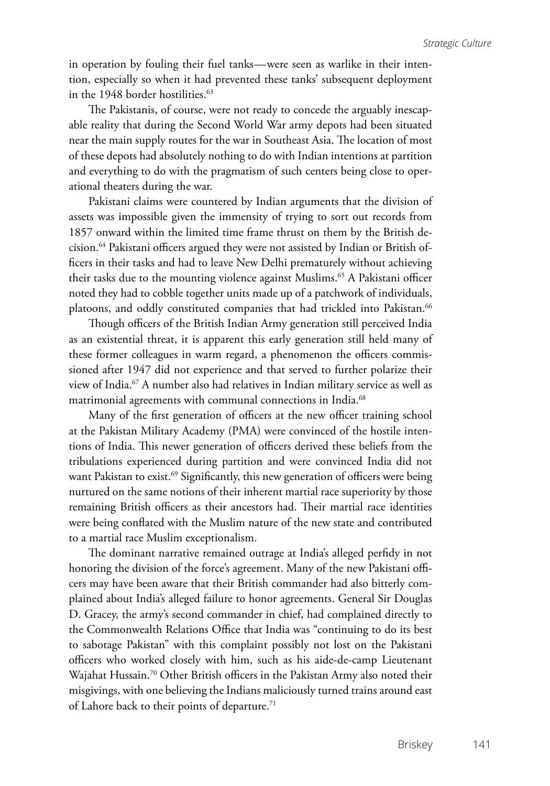in operation by fouling their fuel tanks—were seen as warlike in their intention, especially so when it had prevented these tanks' subsequent deployment in the 1948 border hostilities.<sup>63</sup>

The Pakistanis, of course, were not ready to concede the arguably inescapable reality that during the Second World War army depots had been situated near the main supply routes for the war in Southeast Asia. The location of most of these depots had absolutely nothing to do with Indian intentions at partition and everything to do with the pragmatism of such centers being close to operational theaters during the war.

Pakistani claims were countered by Indian arguments that the division of assets was impossible given the immensity of trying to sort out records from 1857 onward within the limited time frame thrust on them by the British decision.64 Pakistani officers argued they were not assisted by Indian or British officers in their tasks and had to leave New Delhi prematurely without achieving their tasks due to the mounting violence against Muslims.<sup>65</sup> A Pakistani officer noted they had to cobble together units made up of a patchwork of individuals, platoons, and oddly constituted companies that had trickled into Pakistan.<sup>66</sup>

Though officers of the British Indian Army generation still perceived India as an existential threat, it is apparent this early generation still held many of these former colleagues in warm regard, a phenomenon the officers commissioned after 1947 did not experience and that served to further polarize their view of India.<sup>67</sup> A number also had relatives in Indian military service as well as matrimonial agreements with communal connections in India.<sup>68</sup>

Many of the first generation of officers at the new officer training school at the Pakistan Military Academy (PMA) were convinced of the hostile intentions of India. This newer generation of officers derived these beliefs from the tribulations experienced during partition and were convinced India did not want Pakistan to exist.<sup>69</sup> Significantly, this new generation of officers were being nurtured on the same notions of their inherent martial race superiority by those remaining British officers as their ancestors had. Their martial race identities were being conflated with the Muslim nature of the new state and contributed to a martial race Muslim exceptionalism.

The dominant narrative remained outrage at India's alleged perfidy in not honoring the division of the force's agreement. Many of the new Pakistani officers may have been aware that their British commander had also bitterly complained about India's alleged failure to honor agreements. General Sir Douglas D. Gracey, the army's second commander in chief, had complained directly to the Commonwealth Relations Office that India was "continuing to do its best to sabotage Pakistan" with this complaint possibly not lost on the Pakistani officers who worked closely with him, such as his aide-de-camp Lieutenant Wajahat Hussain.<sup>70</sup> Other British officers in the Pakistan Army also noted their misgivings, with one believing the Indians maliciously turned trains around east of Lahore back to their points of departure.<sup>71</sup>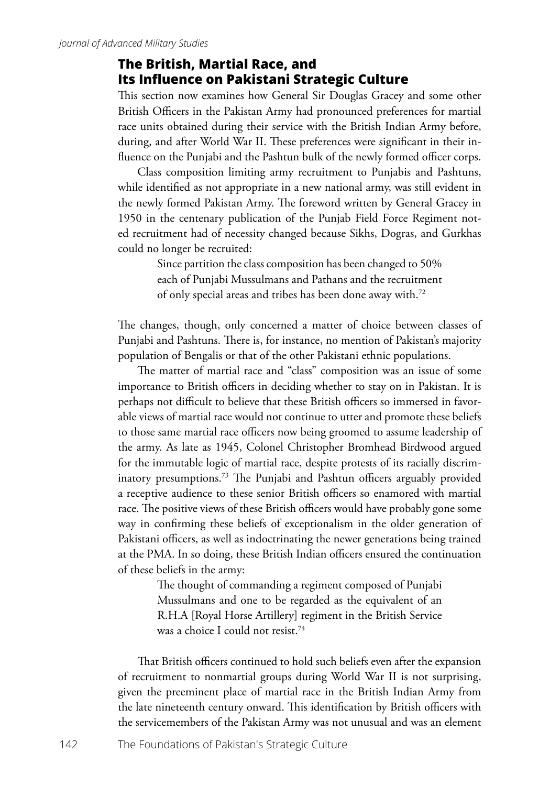#### **The British, Martial Race, and Its Influence on Pakistani Strategic Culture**

This section now examines how General Sir Douglas Gracey and some other British Officers in the Pakistan Army had pronounced preferences for martial race units obtained during their service with the British Indian Army before, during, and after World War II. These preferences were significant in their influence on the Punjabi and the Pashtun bulk of the newly formed officer corps.

Class composition limiting army recruitment to Punjabis and Pashtuns, while identified as not appropriate in a new national army, was still evident in the newly formed Pakistan Army. The foreword written by General Gracey in 1950 in the centenary publication of the Punjab Field Force Regiment noted recruitment had of necessity changed because Sikhs, Dogras, and Gurkhas could no longer be recruited:

> Since partition the class composition has been changed to 50% each of Punjabi Mussulmans and Pathans and the recruitment of only special areas and tribes has been done away with.72

The changes, though, only concerned a matter of choice between classes of Punjabi and Pashtuns. There is, for instance, no mention of Pakistan's majority population of Bengalis or that of the other Pakistani ethnic populations.

The matter of martial race and "class" composition was an issue of some importance to British officers in deciding whether to stay on in Pakistan. It is perhaps not difficult to believe that these British officers so immersed in favorable views of martial race would not continue to utter and promote these beliefs to those same martial race officers now being groomed to assume leadership of the army. As late as 1945, Colonel Christopher Bromhead Birdwood argued for the immutable logic of martial race, despite protests of its racially discriminatory presumptions.73 The Punjabi and Pashtun officers arguably provided a receptive audience to these senior British officers so enamored with martial race. The positive views of these British officers would have probably gone some way in confirming these beliefs of exceptionalism in the older generation of Pakistani officers, as well as indoctrinating the newer generations being trained at the PMA. In so doing, these British Indian officers ensured the continuation of these beliefs in the army:

> The thought of commanding a regiment composed of Punjabi Mussulmans and one to be regarded as the equivalent of an R.H.A [Royal Horse Artillery] regiment in the British Service was a choice I could not resist.<sup>74</sup>

That British officers continued to hold such beliefs even after the expansion of recruitment to nonmartial groups during World War II is not surprising, given the preeminent place of martial race in the British Indian Army from the late nineteenth century onward. This identification by British officers with the servicemembers of the Pakistan Army was not unusual and was an element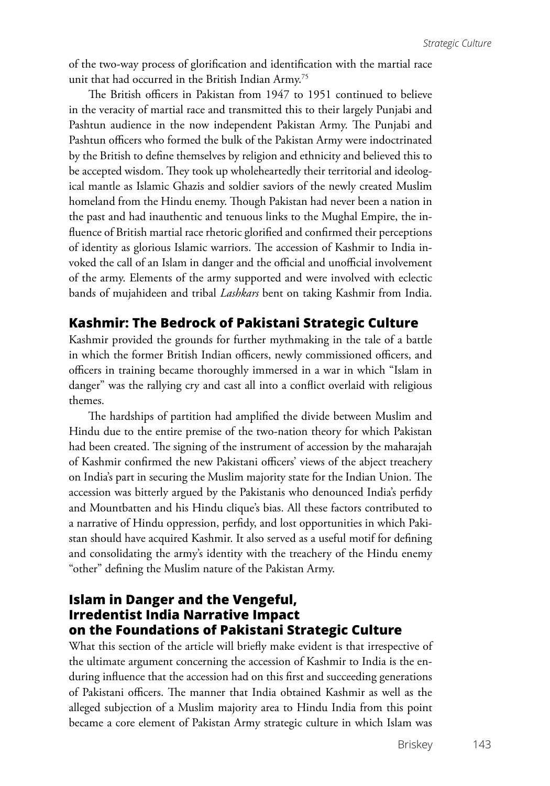of the two-way process of glorification and identification with the martial race unit that had occurred in the British Indian Army.75

The British officers in Pakistan from 1947 to 1951 continued to believe in the veracity of martial race and transmitted this to their largely Punjabi and Pashtun audience in the now independent Pakistan Army. The Punjabi and Pashtun officers who formed the bulk of the Pakistan Army were indoctrinated by the British to define themselves by religion and ethnicity and believed this to be accepted wisdom. They took up wholeheartedly their territorial and ideological mantle as Islamic Ghazis and soldier saviors of the newly created Muslim homeland from the Hindu enemy. Though Pakistan had never been a nation in the past and had inauthentic and tenuous links to the Mughal Empire, the influence of British martial race rhetoric glorified and confirmed their perceptions of identity as glorious Islamic warriors. The accession of Kashmir to India invoked the call of an Islam in danger and the official and unofficial involvement of the army. Elements of the army supported and were involved with eclectic bands of mujahideen and tribal *Lashkars* bent on taking Kashmir from India.

## **Kashmir: The Bedrock of Pakistani Strategic Culture**

Kashmir provided the grounds for further mythmaking in the tale of a battle in which the former British Indian officers, newly commissioned officers, and officers in training became thoroughly immersed in a war in which "Islam in danger" was the rallying cry and cast all into a conflict overlaid with religious themes.

The hardships of partition had amplified the divide between Muslim and Hindu due to the entire premise of the two-nation theory for which Pakistan had been created. The signing of the instrument of accession by the maharajah of Kashmir confirmed the new Pakistani officers' views of the abject treachery on India's part in securing the Muslim majority state for the Indian Union. The accession was bitterly argued by the Pakistanis who denounced India's perfidy and Mountbatten and his Hindu clique's bias. All these factors contributed to a narrative of Hindu oppression, perfidy, and lost opportunities in which Pakistan should have acquired Kashmir. It also served as a useful motif for defining and consolidating the army's identity with the treachery of the Hindu enemy "other" defining the Muslim nature of the Pakistan Army.

## **Islam in Danger and the Vengeful, Irredentist India Narrative Impact on the Foundations of Pakistani Strategic Culture**

What this section of the article will briefly make evident is that irrespective of the ultimate argument concerning the accession of Kashmir to India is the enduring influence that the accession had on this first and succeeding generations of Pakistani officers. The manner that India obtained Kashmir as well as the alleged subjection of a Muslim majority area to Hindu India from this point became a core element of Pakistan Army strategic culture in which Islam was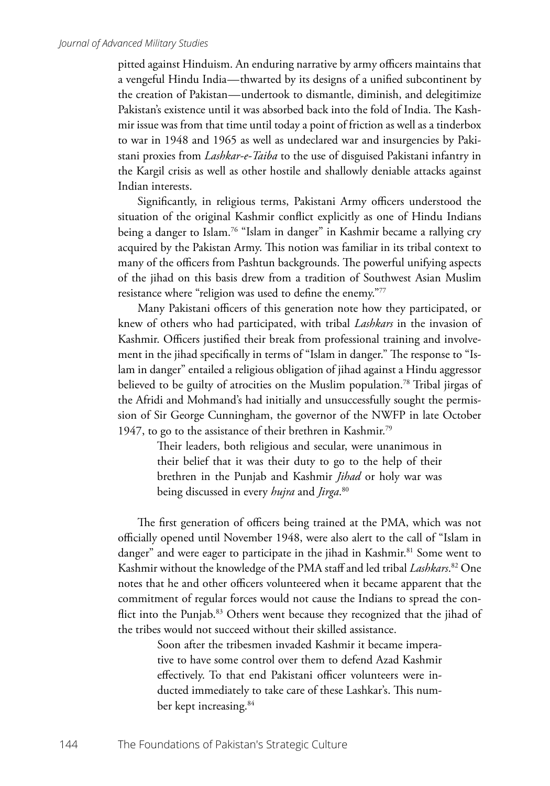pitted against Hinduism. An enduring narrative by army officers maintains that a vengeful Hindu India—thwarted by its designs of a unified subcontinent by the creation of Pakistan—undertook to dismantle, diminish, and delegitimize Pakistan's existence until it was absorbed back into the fold of India. The Kashmir issue was from that time until today a point of friction as well as a tinderbox to war in 1948 and 1965 as well as undeclared war and insurgencies by Pakistani proxies from *Lashkar-e-Taiba* to the use of disguised Pakistani infantry in the Kargil crisis as well as other hostile and shallowly deniable attacks against Indian interests.

Significantly, in religious terms, Pakistani Army officers understood the situation of the original Kashmir conflict explicitly as one of Hindu Indians being a danger to Islam.76 "Islam in danger" in Kashmir became a rallying cry acquired by the Pakistan Army. This notion was familiar in its tribal context to many of the officers from Pashtun backgrounds. The powerful unifying aspects of the jihad on this basis drew from a tradition of Southwest Asian Muslim resistance where "religion was used to define the enemy."77

Many Pakistani officers of this generation note how they participated, or knew of others who had participated, with tribal *Lashkars* in the invasion of Kashmir. Officers justified their break from professional training and involvement in the jihad specifically in terms of "Islam in danger." The response to "Islam in danger" entailed a religious obligation of jihad against a Hindu aggressor believed to be guilty of atrocities on the Muslim population.<sup>78</sup> Tribal jirgas of the Afridi and Mohmand's had initially and unsuccessfully sought the permission of Sir George Cunningham, the governor of the NWFP in late October 1947, to go to the assistance of their brethren in Kashmir.<sup>79</sup>

> Their leaders, both religious and secular, were unanimous in their belief that it was their duty to go to the help of their brethren in the Punjab and Kashmir *Jihad* or holy war was being discussed in every *hujra* and *Jirga*. 80

The first generation of officers being trained at the PMA, which was not officially opened until November 1948, were also alert to the call of "Islam in danger" and were eager to participate in the jihad in Kashmir.<sup>81</sup> Some went to Kashmir without the knowledge of the PMA staff and led tribal *Lashkars*. 82 One notes that he and other officers volunteered when it became apparent that the commitment of regular forces would not cause the Indians to spread the conflict into the Punjab.<sup>83</sup> Others went because they recognized that the jihad of the tribes would not succeed without their skilled assistance.

> Soon after the tribesmen invaded Kashmir it became imperative to have some control over them to defend Azad Kashmir effectively. To that end Pakistani officer volunteers were inducted immediately to take care of these Lashkar's. This number kept increasing.<sup>84</sup>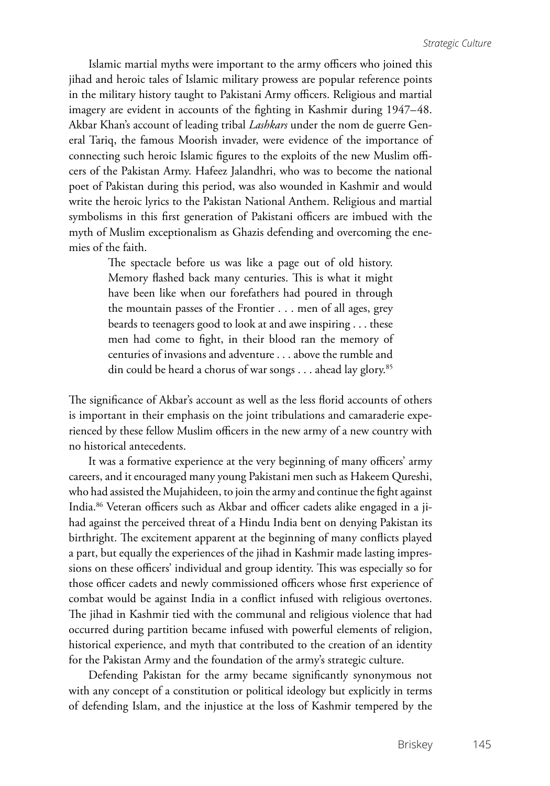Islamic martial myths were important to the army officers who joined this jihad and heroic tales of Islamic military prowess are popular reference points in the military history taught to Pakistani Army officers. Religious and martial imagery are evident in accounts of the fighting in Kashmir during 1947–48. Akbar Khan's account of leading tribal *Lashkars* under the nom de guerre General Tariq, the famous Moorish invader, were evidence of the importance of connecting such heroic Islamic figures to the exploits of the new Muslim officers of the Pakistan Army. Hafeez Jalandhri, who was to become the national poet of Pakistan during this period, was also wounded in Kashmir and would write the heroic lyrics to the Pakistan National Anthem. Religious and martial symbolisms in this first generation of Pakistani officers are imbued with the myth of Muslim exceptionalism as Ghazis defending and overcoming the enemies of the faith.

> The spectacle before us was like a page out of old history. Memory flashed back many centuries. This is what it might have been like when our forefathers had poured in through the mountain passes of the Frontier . . . men of all ages, grey beards to teenagers good to look at and awe inspiring . . . these men had come to fight, in their blood ran the memory of centuries of invasions and adventure . . . above the rumble and din could be heard a chorus of war songs . . . ahead lay glory.<sup>85</sup>

The significance of Akbar's account as well as the less florid accounts of others is important in their emphasis on the joint tribulations and camaraderie experienced by these fellow Muslim officers in the new army of a new country with no historical antecedents.

It was a formative experience at the very beginning of many officers' army careers, and it encouraged many young Pakistani men such as Hakeem Qureshi, who had assisted the Mujahideen, to join the army and continue the fight against India.86 Veteran officers such as Akbar and officer cadets alike engaged in a jihad against the perceived threat of a Hindu India bent on denying Pakistan its birthright. The excitement apparent at the beginning of many conflicts played a part, but equally the experiences of the jihad in Kashmir made lasting impressions on these officers' individual and group identity. This was especially so for those officer cadets and newly commissioned officers whose first experience of combat would be against India in a conflict infused with religious overtones. The jihad in Kashmir tied with the communal and religious violence that had occurred during partition became infused with powerful elements of religion, historical experience, and myth that contributed to the creation of an identity for the Pakistan Army and the foundation of the army's strategic culture.

Defending Pakistan for the army became significantly synonymous not with any concept of a constitution or political ideology but explicitly in terms of defending Islam, and the injustice at the loss of Kashmir tempered by the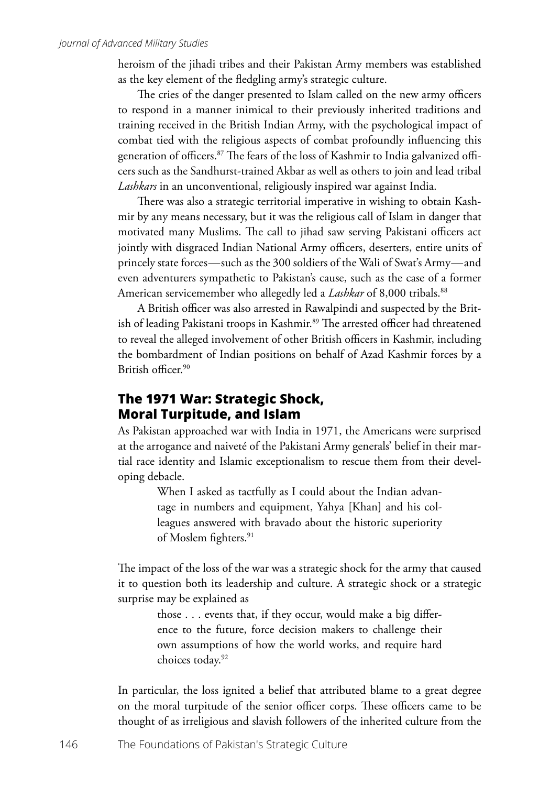heroism of the jihadi tribes and their Pakistan Army members was established as the key element of the fledgling army's strategic culture.

The cries of the danger presented to Islam called on the new army officers to respond in a manner inimical to their previously inherited traditions and training received in the British Indian Army, with the psychological impact of combat tied with the religious aspects of combat profoundly influencing this generation of officers.87 The fears of the loss of Kashmir to India galvanized officers such as the Sandhurst-trained Akbar as well as others to join and lead tribal *Lashkars* in an unconventional, religiously inspired war against India.

There was also a strategic territorial imperative in wishing to obtain Kashmir by any means necessary, but it was the religious call of Islam in danger that motivated many Muslims. The call to jihad saw serving Pakistani officers act jointly with disgraced Indian National Army officers, deserters, entire units of princely state forces—such as the 300 soldiers of the Wali of Swat's Army—and even adventurers sympathetic to Pakistan's cause, such as the case of a former American servicemember who allegedly led a *Lashkar* of 8,000 tribals.<sup>88</sup>

A British officer was also arrested in Rawalpindi and suspected by the British of leading Pakistani troops in Kashmir.<sup>89</sup> The arrested officer had threatened to reveal the alleged involvement of other British officers in Kashmir, including the bombardment of Indian positions on behalf of Azad Kashmir forces by a British officer.90

## **The 1971 War: Strategic Shock, Moral Turpitude, and Islam**

As Pakistan approached war with India in 1971, the Americans were surprised at the arrogance and naiveté of the Pakistani Army generals' belief in their martial race identity and Islamic exceptionalism to rescue them from their developing debacle.

> When I asked as tactfully as I could about the Indian advantage in numbers and equipment, Yahya [Khan] and his colleagues answered with bravado about the historic superiority of Moslem fighters.<sup>91</sup>

The impact of the loss of the war was a strategic shock for the army that caused it to question both its leadership and culture. A strategic shock or a strategic surprise may be explained as

> those . . . events that, if they occur, would make a big difference to the future, force decision makers to challenge their own assumptions of how the world works, and require hard choices today.92

In particular, the loss ignited a belief that attributed blame to a great degree on the moral turpitude of the senior officer corps. These officers came to be thought of as irreligious and slavish followers of the inherited culture from the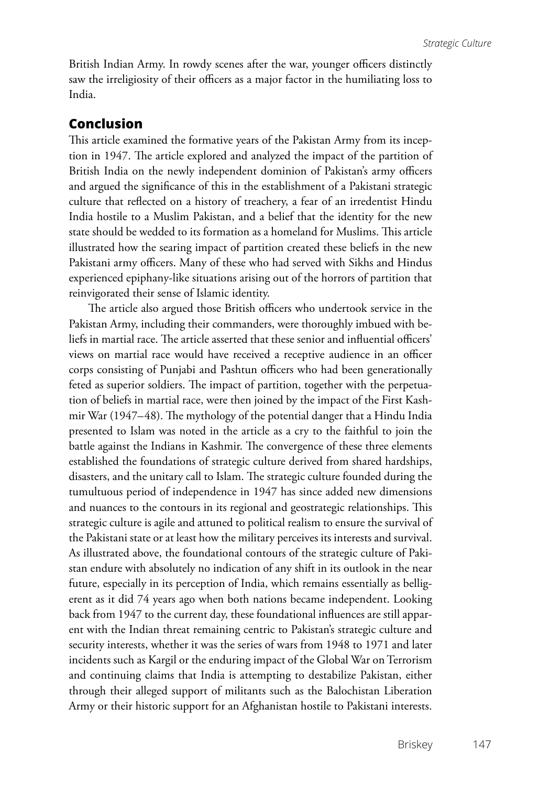British Indian Army. In rowdy scenes after the war, younger officers distinctly saw the irreligiosity of their officers as a major factor in the humiliating loss to India.

#### **Conclusion**

This article examined the formative years of the Pakistan Army from its inception in 1947. The article explored and analyzed the impact of the partition of British India on the newly independent dominion of Pakistan's army officers and argued the significance of this in the establishment of a Pakistani strategic culture that reflected on a history of treachery, a fear of an irredentist Hindu India hostile to a Muslim Pakistan, and a belief that the identity for the new state should be wedded to its formation as a homeland for Muslims. This article illustrated how the searing impact of partition created these beliefs in the new Pakistani army officers. Many of these who had served with Sikhs and Hindus experienced epiphany-like situations arising out of the horrors of partition that reinvigorated their sense of Islamic identity.

The article also argued those British officers who undertook service in the Pakistan Army, including their commanders, were thoroughly imbued with beliefs in martial race. The article asserted that these senior and influential officers' views on martial race would have received a receptive audience in an officer corps consisting of Punjabi and Pashtun officers who had been generationally feted as superior soldiers. The impact of partition, together with the perpetuation of beliefs in martial race, were then joined by the impact of the First Kashmir War (1947–48). The mythology of the potential danger that a Hindu India presented to Islam was noted in the article as a cry to the faithful to join the battle against the Indians in Kashmir. The convergence of these three elements established the foundations of strategic culture derived from shared hardships, disasters, and the unitary call to Islam. The strategic culture founded during the tumultuous period of independence in 1947 has since added new dimensions and nuances to the contours in its regional and geostrategic relationships. This strategic culture is agile and attuned to political realism to ensure the survival of the Pakistani state or at least how the military perceives its interests and survival. As illustrated above, the foundational contours of the strategic culture of Pakistan endure with absolutely no indication of any shift in its outlook in the near future, especially in its perception of India, which remains essentially as belligerent as it did 74 years ago when both nations became independent. Looking back from 1947 to the current day, these foundational influences are still apparent with the Indian threat remaining centric to Pakistan's strategic culture and security interests, whether it was the series of wars from 1948 to 1971 and later incidents such as Kargil or the enduring impact of the Global War on Terrorism and continuing claims that India is attempting to destabilize Pakistan, either through their alleged support of militants such as the Balochistan Liberation Army or their historic support for an Afghanistan hostile to Pakistani interests.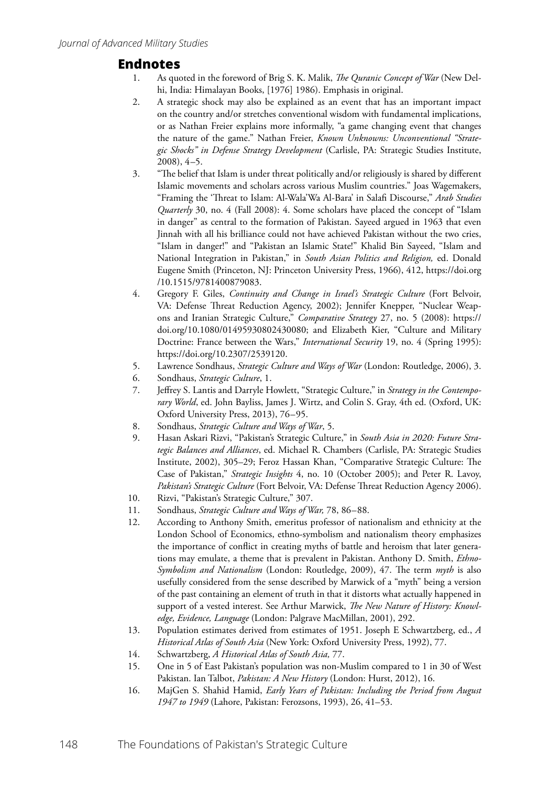#### **Endnotes**

- 1. As quoted in the foreword of Brig S. K. Malik, *The Quranic Concept of War* (New Delhi, India: Himalayan Books, [1976] 1986). Emphasis in original.
- 2. A strategic shock may also be explained as an event that has an important impact on the country and/or stretches conventional wisdom with fundamental implications, or as Nathan Freier explains more informally, "a game changing event that changes the nature of the game." Nathan Freier, *Known Unknowns: Unconventional "Strategic Shocks" in Defense Strategy Development* (Carlisle, PA: Strategic Studies Institute, 2008), 4–5.
- 3. "The belief that Islam is under threat politically and/or religiously is shared by different Islamic movements and scholars across various Muslim countries." Joas Wagemakers, "Framing the 'Threat to Islam: Al-Wala'Wa Al-Bara' in Salafi Discourse," *Arab Studies Quarterly* 30, no. 4 (Fall 2008): 4. Some scholars have placed the concept of "Islam in danger" as central to the formation of Pakistan. Sayeed argued in 1963 that even Jinnah with all his brilliance could not have achieved Pakistan without the two cries, "Islam in danger!" and "Pakistan an Islamic State!" Khalid Bin Sayeed, "Islam and National Integration in Pakistan," in *South Asian Politics and Religion,* ed. Donald Eugene Smith (Princeton, NJ: Princeton University Press, 1966), 412, https://doi.org /10.1515/9781400879083.
- 4. Gregory F. Giles, *Continuity and Change in Israel's Strategic Culture* (Fort Belvoir, VA: Defense Threat Reduction Agency, 2002); Jennifer Knepper, "Nuclear Weapons and Iranian Strategic Culture," *Comparative Strategy* 27, no. 5 (2008): https:// doi.org/10.1080/01495930802430080; and Elizabeth Kier, "Culture and Military Doctrine: France between the Wars," *International Security* 19, no. 4 (Spring 1995): https://doi.org/10.2307/2539120.
- 5. Lawrence Sondhaus, *Strategic Culture and Ways of War* (London: Routledge, 2006), 3.
- 6. Sondhaus, *Strategic Culture*, 1.
- 7. Jeffrey S. Lantis and Darryle Howlett, "Strategic Culture," in *Strategy in the Contemporary World*, ed. John Bayliss, James J. Wirtz, and Colin S. Gray, 4th ed. (Oxford, UK: Oxford University Press, 2013), 76–95.
- 8. Sondhaus, *Strategic Culture and Ways of War*, 5.
- 9. Hasan Askari Rizvi, "Pakistan's Strategic Culture," in *South Asia in 2020: Future Strategic Balances and Alliances*, ed. Michael R. Chambers (Carlisle, PA: Strategic Studies Institute, 2002), 305–29; Feroz Hassan Khan, "Comparative Strategic Culture: The Case of Pakistan," *Strategic Insights* 4, no. 10 (October 2005); and Peter R. Lavoy, *Pakistan's Strategic Culture* (Fort Belvoir, VA: Defense Threat Reduction Agency 2006).
- 10. Rizvi, "Pakistan's Strategic Culture," 307.
- 11. Sondhaus, *Strategic Culture and Ways of War,* 78, 86–88.
- 12. According to Anthony Smith, emeritus professor of nationalism and ethnicity at the London School of Economics, ethno-symbolism and nationalism theory emphasizes the importance of conflict in creating myths of battle and heroism that later generations may emulate, a theme that is prevalent in Pakistan. Anthony D. Smith, *Ethno-Symbolism and Nationalism* (London: Routledge, 2009), 47. The term *myth* is also usefully considered from the sense described by Marwick of a "myth" being a version of the past containing an element of truth in that it distorts what actually happened in support of a vested interest. See Arthur Marwick, *The New Nature of History: Knowledge, Evidence, Language* (London: Palgrave MacMillan, 2001), 292.
- 13. Population estimates derived from estimates of 1951. Joseph E Schwartzberg, ed., *A Historical Atlas of South Asia* (New York: Oxford University Press, 1992), 77.
- 14. Schwartzberg, *A Historical Atlas of South Asia,* 77.
- 15. One in 5 of East Pakistan's population was non-Muslim compared to 1 in 30 of West Pakistan. Ian Talbot, *Pakistan: A New History* (London: Hurst, 2012), 16.
- 16. MajGen S. Shahid Hamid, *Early Years of Pakistan: Including the Period from August 1947 to 1949* (Lahore, Pakistan: Ferozsons, 1993), 26, 41–53.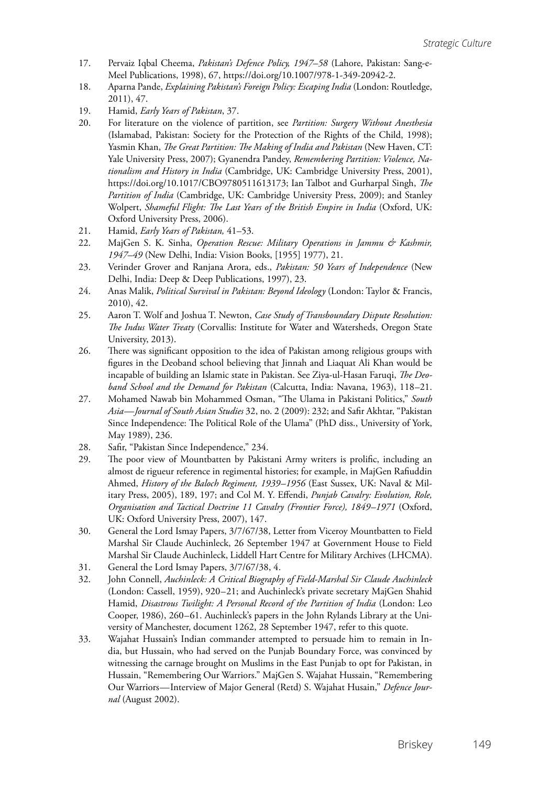- 17. Pervaiz Iqbal Cheema, *Pakistan's Defence Policy, 1947–58* (Lahore, Pakistan: Sang-e-Meel Publications, 1998), 67, https://doi.org/10.1007/978-1-349-20942-2.
- 18. Aparna Pande, *Explaining Pakistan's Foreign Policy: Escaping India* (London: Routledge, 2011), 47.
- 19. Hamid, *Early Years of Pakistan*, 37.
- 20. For literature on the violence of partition, see *Partition: Surgery Without Anesthesia*  (Islamabad, Pakistan: Society for the Protection of the Rights of the Child, 1998); Yasmin Khan, *The Great Partition: The Making of India and Pakistan* (New Haven, CT: Yale University Press, 2007); Gyanendra Pandey, *Remembering Partition: Violence, Nationalism and History in India* (Cambridge, UK: Cambridge University Press, 2001), https://doi.org/10.1017/CBO9780511613173; Ian Talbot and Gurharpal Singh, *The Partition of India* (Cambridge, UK: Cambridge University Press, 2009); and Stanley Wolpert, *Shameful Flight: The Last Years of the British Empire in India* (Oxford, UK: Oxford University Press, 2006).
- 21. Hamid, *Early Years of Pakistan,* 41–53.
- 22. MajGen S. K. Sinha, *Operation Rescue: Military Operations in Jammu & Kashmir, 1947–49* (New Delhi, India: Vision Books, [1955] 1977), 21.
- 23. Verinder Grover and Ranjana Arora, eds., *Pakistan: 50 Years of Independence* (New Delhi, India: Deep & Deep Publications, 1997), 23.
- 24. Anas Malik, *Political Survival in Pakistan: Beyond Ideology* (London: Taylor & Francis, 2010), 42.
- 25. Aaron T. Wolf and Joshua T. Newton, *Case Study of Transboundary Dispute Resolution: The Indus Water Treaty* (Corvallis: Institute for Water and Watersheds, Oregon State University, 2013).
- 26. There was significant opposition to the idea of Pakistan among religious groups with figures in the Deoband school believing that Jinnah and Liaquat Ali Khan would be incapable of building an Islamic state in Pakistan. See Ziya-ul-Hasan Faruqi, *The Deoband School and the Demand for Pakistan* (Calcutta, India: Navana, 1963), 118–21.
- 27. Mohamed Nawab bin Mohammed Osman, "The Ulama in Pakistani Politics," *South Asia—Journal of South Asian Studies* 32, no. 2 (2009): 232; and Safir Akhtar, "Pakistan Since Independence: The Political Role of the Ulama" (PhD diss., University of York, May 1989), 236.
- 28. Safir, "Pakistan Since Independence," 234.
- 29. The poor view of Mountbatten by Pakistani Army writers is prolific, including an almost de rigueur reference in regimental histories; for example, in MajGen Rafiuddin Ahmed, *History of the Baloch Regiment, 1939–1956* (East Sussex, UK: Naval & Military Press, 2005), 189, 197; and Col M. Y. Effendi, *Punjab Cavalry: Evolution, Role, Organisation and Tactical Doctrine 11 Cavalry (Frontier Force), 1849–1971* (Oxford, UK: Oxford University Press, 2007), 147.
- 30. General the Lord Ismay Papers, 3/7/67/38, Letter from Viceroy Mountbatten to Field Marshal Sir Claude Auchinleck, 26 September 1947 at Government House to Field Marshal Sir Claude Auchinleck, Liddell Hart Centre for Military Archives (LHCMA).
- 31. General the Lord Ismay Papers, 3/7/67/38, 4.
- 32. John Connell, *Auchinleck: A Critical Biography of Field-Marshal Sir Claude Auchinleck*  (London: Cassell, 1959), 920–21; and Auchinleck's private secretary MajGen Shahid Hamid, *Disastrous Twilight: A Personal Record of the Partition of India* (London: Leo Cooper, 1986), 260–61. Auchinleck's papers in the John Rylands Library at the University of Manchester, document 1262, 28 September 1947, refer to this quote.
- 33. Wajahat Hussain's Indian commander attempted to persuade him to remain in India, but Hussain, who had served on the Punjab Boundary Force, was convinced by witnessing the carnage brought on Muslims in the East Punjab to opt for Pakistan, in Hussain, "Remembering Our Warriors." MajGen S. Wajahat Hussain, "Remembering Our Warriors—Interview of Major General (Retd) S. Wajahat Husain," *Defence Journal* (August 2002).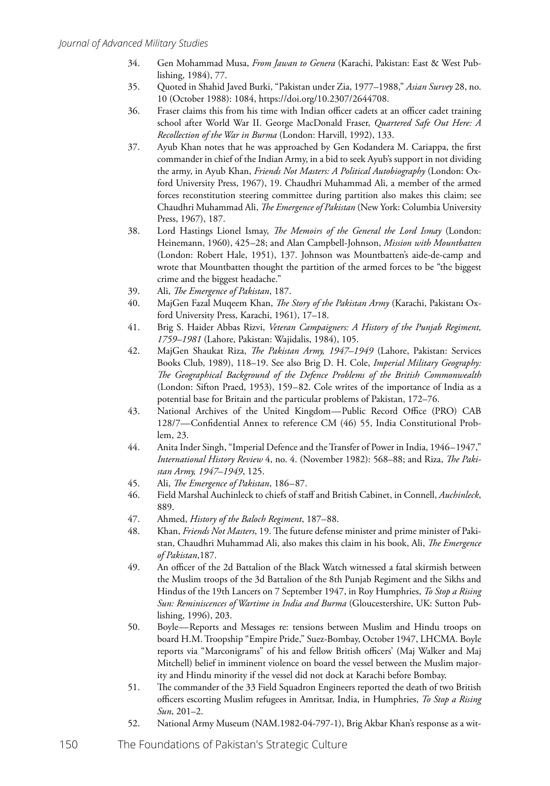- 34. Gen Mohammad Musa, *From Jawan to Genera* (Karachi, Pakistan: East & West Publishing, 1984), 77.
- 35. Quoted in Shahid Javed Burki, "Pakistan under Zia, 1977–1988," *Asian Survey* 28, no. 10 (October 1988): 1084, https://doi.org/10.2307/2644708.
- 36. Fraser claims this from his time with Indian officer cadets at an officer cadet training school after World War II. George MacDonald Fraser, *Quartered Safe Out Here: A Recollection of the War in Burma* (London: Harvill, 1992), 133.
- 37. Ayub Khan notes that he was approached by Gen Kodandera M. Cariappa, the first commander in chief of the Indian Army, in a bid to seek Ayub's support in not dividing the army, in Ayub Khan, *Friends Not Masters: A Political Autobiography* (London: Oxford University Press, 1967), 19. Chaudhri Muhammad Ali, a member of the armed forces reconstitution steering committee during partition also makes this claim; see Chaudhri Muhammad Ali, *The Emergence of Pakistan* (New York: Columbia University Press, 1967), 187.
- 38. Lord Hastings Lionel Ismay, *The Memoirs of the General the Lord Ismay* (London: Heinemann, 1960), 425–28; and Alan Campbell-Johnson, *Mission with Mountbatten*  (London: Robert Hale, 1951), 137. Johnson was Mountbatten's aide-de-camp and wrote that Mountbatten thought the partition of the armed forces to be "the biggest crime and the biggest headache."
- 39. Ali, *The Emergence of Pakistan*, 187.
- 40. MajGen Fazal Muqeem Khan, *The Story of the Pakistan Army* (Karachi, Pakistan**:** Oxford University Press, Karachi, 1961), 17–18.
- 41. Brig S. Haider Abbas Rizvi, *Veteran Campaigners: A History of the Punjab Regiment, 1759–1981* (Lahore, Pakistan: Wajidalis, 1984), 105.
- 42. MajGen Shaukat Riza, *The Pakistan Army, 1947–1949* (Lahore, Pakistan: Services Books Club, 1989), 118–19. See also Brig D. H. Cole, *Imperial Military Geography: The Geographical Background of the Defence Problems of the British Commonwealth*  (London: Sifton Praed, 1953), 159–82. Cole writes of the importance of India as a potential base for Britain and the particular problems of Pakistan, 172–76.
- 43. National Archives of the United Kingdom—Public Record Office (PRO) CAB 128/7—Confidential Annex to reference CM (46) 55, India Constitutional Problem, 23.
- 44. Anita Inder Singh, "Imperial Defence and the Transfer of Power in India, 1946–1947," *International History Review* 4, no. 4. (November 1982): 568–88; and Riza, *The Pakistan Army, 1947–1949*, 125.
- 45. Ali, *The Emergence of Pakistan*, 186–87.
- 46. Field Marshal Auchinleck to chiefs of staff and British Cabinet, in Connell, *Auchinleck*, 889.
- 47. Ahmed, *History of the Baloch Regiment*, 187–88.
- 48. Khan, *Friends Not Masters*, 19. The future defense minister and prime minister of Pakistan, Chaudhri Muhammad Ali, also makes this claim in his book, Ali, *The Emergence of Pakistan*,187.
- 49. An officer of the 2d Battalion of the Black Watch witnessed a fatal skirmish between the Muslim troops of the 3d Battalion of the 8th Punjab Regiment and the Sikhs and Hindus of the 19th Lancers on 7 September 1947, in Roy Humphries, *To Stop a Rising Sun: Reminiscences of Wartime in India and Burma* (Gloucestershire, UK: Sutton Publishing, 1996), 203.
- 50. Boyle—Reports and Messages re: tensions between Muslim and Hindu troops on board H.M. Troopship "Empire Pride," Suez-Bombay, October 1947, LHCMA. Boyle reports via "Marconigrams" of his and fellow British officers' (Maj Walker and Maj Mitchell) belief in imminent violence on board the vessel between the Muslim majority and Hindu minority if the vessel did not dock at Karachi before Bombay.
- 51. The commander of the 33 Field Squadron Engineers reported the death of two British officers escorting Muslim refugees in Amritsar, India, in Humphries, *To Stop a Rising Sun*, 201–2.
- 52. National Army Museum (NAM.1982-04-797-1), Brig Akbar Khan's response as a wit-
- 150 The Foundations of Pakistan's Strategic Culture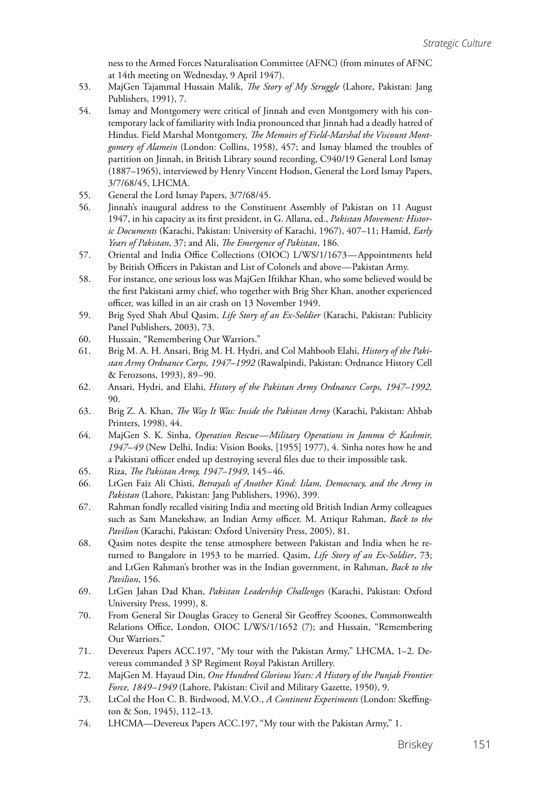ness to the Armed Forces Naturalisation Committee (AFNC) (from minutes of AFNC at 14th meeting on Wednesday, 9 April 1947).

- 53. MajGen Tajammal Hussain Malik, *The Story of My Struggle* (Lahore, Pakistan: Jang Publishers, 1991), 7.
- 54. Ismay and Montgomery were critical of Jinnah and even Montgomery with his contemporary lack of familiarity with India pronounced that Jinnah had a deadly hatred of Hindus. Field Marshal Montgomery, *The Memoirs of Field-Marshal the Viscount Montgomery of Alamein* (London: Collins, 1958), 457; and Ismay blamed the troubles of partition on Jinnah, in British Library sound recording, C940/19 General Lord Ismay (1887–1965), interviewed by Henry Vincent Hodson, General the Lord Ismay Papers, 3/7/68/45, LHCMA.
- 55. General the Lord Ismay Papers, 3/7/68/45.
- 56. Jinnah's inaugural address to the Constituent Assembly of Pakistan on 11 August 1947, in his capacity as its first president, in G. Allana, ed., *Pakistan Movement: Historic Documents* (Karachi, Pakistan: University of Karachi, 1967), 407–11; Hamid, *Early Years of Pakistan*, 37; and Ali, *The Emergence of Pakistan*, 186.
- 57. Oriental and India Office Collections (OIOC) L/WS/1/1673—Appointments held by British Officers in Pakistan and List of Colonels and above—Pakistan Army.
- 58. For instance, one serious loss was MajGen Iftikhar Khan, who some believed would be the first Pakistani army chief, who together with Brig Sher Khan, another experienced officer, was killed in an air crash on 13 November 1949.
- 59. Brig Syed Shah Abul Qasim, *Life Story of an Ex-Soldier* (Karachi, Pakistan: Publicity Panel Publishers, 2003), 73.
- 60. Hussain, "Remembering Our Warriors."
- 61. Brig M. A. H. Ansari, Brig M. H. Hydri, and Col Mahboob Elahi, *History of the Pakistan Army Ordnance Corps, 1947–1992* (Rawalpindi, Pakistan: Ordnance History Cell & Ferozsons, 1993), 89–90.
- 62. Ansari, Hydri, and Elahi, *History of the Pakistan Army Ordnance Corps, 1947–1992,*  90.
- 63. Brig Z. A. Khan, *The Way It Was: Inside the Pakistan Army* (Karachi, Pakistan: Ahbab Printers, 1998), 44.
- 64. MajGen S. K. Sinha, *Operation Rescue—Military Operations in Jammu & Kashmir, 1947–49* (New Delhi, India: Vision Books, [1955] 1977), 4. Sinha notes how he and a Pakistani officer ended up destroying several files due to their impossible task.
- 65. Riza, *The Pakistan Army, 1947–1949*, 145–46.
- 66. LtGen Faiz Ali Chisti, *Betrayals of Another Kind: Islam, Democracy, and the Army in Pakistan* (Lahore, Pakistan: Jang Publishers, 1996), 399.
- 67. Rahman fondly recalled visiting India and meeting old British Indian Army colleagues such as Sam Manekshaw, an Indian Army officer. M. Attiqur Rahman, *Back to the Pavilion* (Karachi, Pakistan: Oxford University Press, 2005), 81.
- 68. Qasim notes despite the tense atmosphere between Pakistan and India when he returned to Bangalore in 1953 to be married. Qasim, *Life Story of an Ex-Soldier*, 73; and LtGen Rahman's brother was in the Indian government, in Rahman, *Back to the Pavilion*, 156.
- 69. LtGen Jahan Dad Khan, *Pakistan Leadership Challenges* (Karachi, Pakistan: Oxford University Press, 1999), 8.
- 70. From General Sir Douglas Gracey to General Sir Geoffrey Scoones, Commonwealth Relations Office, London, OIOC L/WS/1/1652 (7); and Hussain, "Remembering Our Warriors."
- 71. Devereux Papers ACC.197, "My tour with the Pakistan Army," LHCMA, 1–2. Devereux commanded 3 SP Regiment Royal Pakistan Artillery.
- 72. MajGen M. Hayaud Din, *One Hundred Glorious Years: A History of the Punjab Frontier Force, 1849–1949* (Lahore, Pakistan: Civil and Military Gazette, 1950), 9.
- 73. LtCol the Hon C. B. Birdwood, M.V.O., *A Continent Experiments* (London: Skeffington & Son, 1945), 112–13.
- 74. LHCMA—Devereux Papers ACC.197, "My tour with the Pakistan Army," 1.